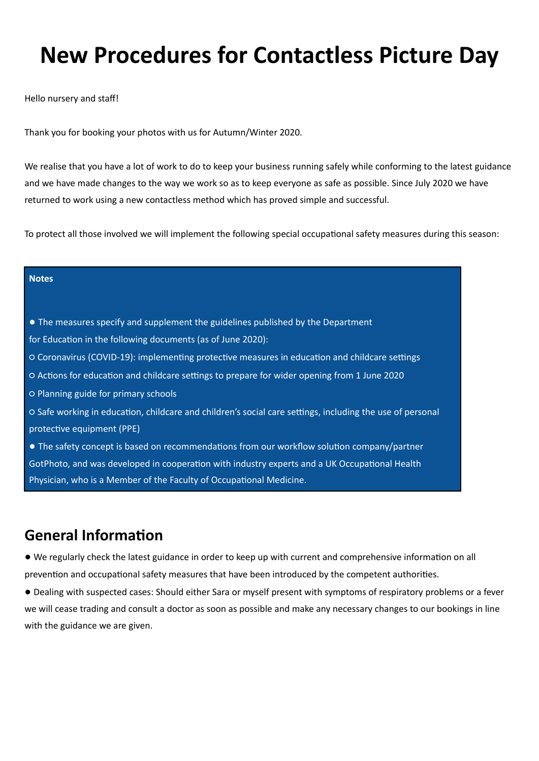# **New Procedures for Contactless Picture Day**

Hello nursery and staff

Thank you for booking your photos with us for Autumn/Winter 2020.

We realise that you have a lot of work to do to keep your business running safely while conforming to the latest guidance and we have made changes to the way we work so as to keep everyone as safe as possible. Since July 2020 we have returned to work using a new contactless method which has proved simple and successful.

To protect all those involved we will implement the following special occupational safety measures during this season:

#### **Notes**

- The measures specify and supplement the guidelines published by the Department
- for Education in the following documents (as of June 2020):
- $\circ$  Coronavirus (COVID-19): implementing protective measures in education and childcare settings
- O Actions for education and childcare settings to prepare for wider opening from 1 June 2020
- Planning guide for primary schools
- O Safe working in education, childcare and children's social care settings, including the use of personal protective equipment (PPE)
- The safety concept is based on recommendations from our workflow solution company/partner GotPhoto, and was developed in cooperation with industry experts and a UK Occupational Health Physician, who is a Member of the Faculty of Occupational Medicine.

## **General Information**

- We regularly check the latest guidance in order to keep up with current and comprehensive informaton on all prevention and occupational safety measures that have been introduced by the competent authorities.
- Dealing with suspected cases: Should either Sara or myself present with symptoms of respiratory problems or a fever we will cease trading and consult a doctor as soon as possible and make any necessary changes to our bookings in line with the guidance we are given.